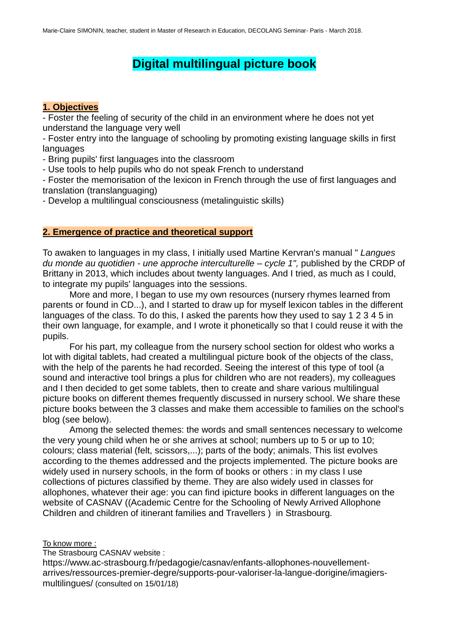# **Digital multilingual picture book**

# **1. Objectives**

- Foster the feeling of security of the child in an environment where he does not yet understand the language very well

- Foster entry into the language of schooling by promoting existing language skills in first languages

- Bring pupils' first languages into the classroom

- Use tools to help pupils who do not speak French to understand

- Foster the memorisation of the lexicon in French through the use of first languages and translation (translanguaging)

- Develop a multilingual consciousness (metalinguistic skills)

# **2. Emergence of practice and theoretical support**

To awaken to languages in my class, I initially used Martine Kervran's manual " *Langues du monde au quotidien - une approche interculturelle – cycle 1",* published by the CRDP of Brittany in 2013, which includes about twenty languages. And I tried, as much as I could, to integrate my pupils' languages into the sessions.

More and more, I began to use my own resources (nursery rhymes learned from parents or found in CD...), and I started to draw up for myself lexicon tables in the different languages of the class. To do this, I asked the parents how they used to say 1 2 3 4 5 in their own language, for example, and I wrote it phonetically so that I could reuse it with the pupils.

For his part, my colleague from the nursery school section for oldest who works a lot with digital tablets, had created a multilingual picture book of the objects of the class, with the help of the parents he had recorded. Seeing the interest of this type of tool (a sound and interactive tool brings a plus for children who are not readers), my colleagues and I then decided to get some tablets, then to create and share various multilingual picture books on different themes frequently discussed in nursery school. We share these picture books between the 3 classes and make them accessible to families on the school's blog (see below).

Among the selected themes: the words and small sentences necessary to welcome the very young child when he or she arrives at school; numbers up to 5 or up to 10; colours; class material (felt, scissors,...); parts of the body; animals. This list evolves according to the themes addressed and the projects implemented. The picture books are widely used in nursery schools, in the form of books or others : in my class I use collections of pictures classified by theme. They are also widely used in classes for allophones, whatever their age: you can find ipicture books in different languages on the website of CASNAV ((Academic Centre for the Schooling of Newly Arrived Allophone Children and children of itinerant families and Travellers ) in Strasbourg.

# To know more :

The Strasbourg CASNAV website :

[https://www.ac-strasbourg.fr/pedagogie/casnav/enfants-allophones-nouvellement](https://www.ac-strasbourg.fr/pedagogie/casnav/enfants-allophones-nouvellement-arrives/ressources-premier-degre/supports-pour-va)[arrives/ressources-premier-degre/supports-pour-valoriser-la-langue-dorigine/imagiers](https://www.ac-strasbourg.fr/pedagogie/casnav/enfants-allophones-nouvellement-arrives/ressources-premier-degre/supports-pour-va)[multilingues/](https://www.ac-strasbourg.fr/pedagogie/casnav/enfants-allophones-nouvellement-arrives/ressources-premier-degre/supports-pour-va) (consulted on 15/01/18)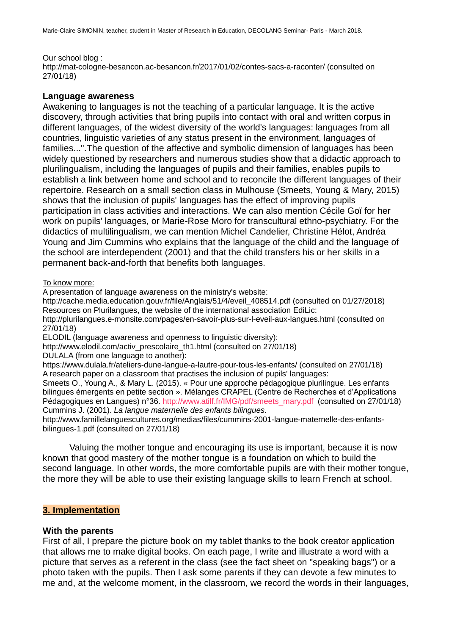#### Our school blog :

<http://mat-cologne-besancon.ac-besancon.fr/2017/01/02/contes-sacs-a-raconter/> (consulted on 27/01/18)

#### **Language awareness**

Awakening to languages is not the teaching of a particular language. It is the active discovery, through activities that bring pupils into contact with oral and written corpus in different languages, of the widest diversity of the world's languages: languages from all countries, linguistic varieties of any status present in the environment, languages of families...".The question of the affective and symbolic dimension of languages has been widely questioned by researchers and numerous studies show that a didactic approach to plurilingualism, including the languages of pupils and their families, enables pupils to establish a link between home and school and to reconcile the different languages of their repertoire. Research on a small section class in Mulhouse (Smeets, Young & Mary, 2015) shows that the inclusion of pupils' languages has the effect of improving pupils participation in class activities and interactions. We can also mention Cécile Goï for her work on pupils' languages, or Marie-Rose Moro for transcultural ethno-psychiatry. For the didactics of multilingualism, we can mention Michel Candelier, Christine Hélot, Andréa Young and Jim Cummins who explains that the language of the child and the language of the school are interdependent (2001) and that the child transfers his or her skills in a permanent back-and-forth that benefits both languages.

#### To know more:

A presentation of language awareness on the ministry's website:

[http://cache.media.education.gouv.fr/file/Anglais/51/4/eveil\\_408514.pdf](http://cache.media.education.gouv.fr/file/Anglais/51/4/eveil_408514.pdf) (consulted on 01/27/2018) Resources on Plurilangues, the website of the international association EdiLic:

<http://plurilangues.e-monsite.com/pages/en-savoir-plus-sur-l-eveil-aux-langues.html> (consulted on 27/01/18)

ELODIL (language awareness and openness to linguistic diversity):

[http://www.elodil.com/activ\\_prescolaire\\_th1.html](http://www.elodil.com/activ_prescolaire_th1.html) (consulted on 27/01/18)

DULALA (from one language to another):

<https://www.dulala.fr/ateliers-dune-langue-a-lautre-pour-tous-les-enfants/> (consulted on 27/01/18) A research paper on a classroom that practises the inclusion of pupils' languages:

Smeets O., Young A., & Mary L. (2015). « Pour une approche pédagogique plurilingue. Les enfants bilingues émergents en petite section ». Mélanges CRAPEL (Centre de Recherches et d'Applications Pédagogiques en Langues) n°36. [http://www.atilf.fr/IMG/pdf/smeets\\_mary.pdf](http://www.atilf.fr/IMG/pdf/smeets_mary.pdf) (consulted on 27/01/18) Cummins J. (2001). *La langue maternelle des enfants bilingues.*

[http://www.famillelanguescultures.org/medias/files/cummins-2001-langue-maternelle-des-enfants](http://www.famillelanguescultures.org/medias/files/cummins-2001-langue-maternelle-des-enfants-bilingues-1.pdf)[bilingues-1.pdf](http://www.famillelanguescultures.org/medias/files/cummins-2001-langue-maternelle-des-enfants-bilingues-1.pdf) (consulted on 27/01/18)

Valuing the mother tongue and encouraging its use is important, because it is now known that good mastery of the mother tongue is a foundation on which to build the second language. In other words, the more comfortable pupils are with their mother tongue, the more they will be able to use their existing language skills to learn French at school.

#### **3. Implementation**

#### **With the parents**

First of all, I prepare the picture book on my tablet thanks to the book creator application that allows me to make digital books. On each page, I write and illustrate a word with a picture that serves as a referent in the class (see the fact sheet on "speaking bags") or a photo taken with the pupils. Then I ask some parents if they can devote a few minutes to me and, at the welcome moment, in the classroom, we record the words in their languages,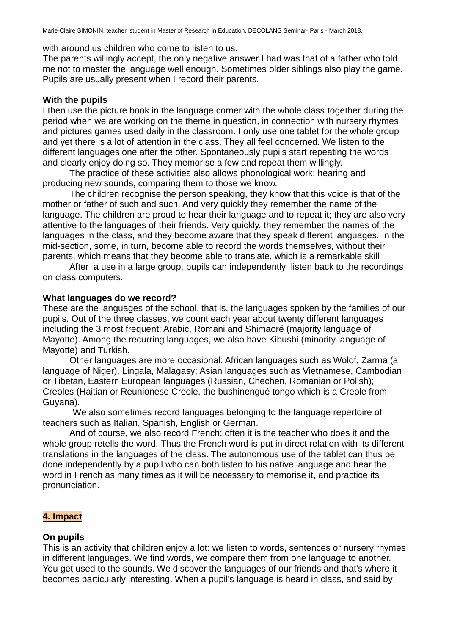with around us children who come to listen to us.

The parents willingly accept, the only negative answer I had was that of a father who told me not to master the language well enough. Sometimes older siblings also play the game. Pupils are usually present when I record their parents.

### **With the pupils**

I then use the picture book in the language corner with the whole class together during the period when we are working on the theme in question, in connection with nursery rhymes and pictures games used daily in the classroom. I only use one tablet for the whole group and yet there is a lot of attention in the class. They all feel concerned. We listen to the different languages one after the other. Spontaneously pupils start repeating the words and clearly enjoy doing so. They memorise a few and repeat them willingly.

The practice of these activities also allows phonological work: hearing and producing new sounds, comparing them to those we know.

The children recognise the person speaking, they know that this voice is that of the mother or father of such and such. And very quickly they remember the name of the language. The children are proud to hear their language and to repeat it; they are also very attentive to the languages of their friends. Very quickly, they remember the names of the languages in the class, and they become aware that they speak different languages. In the mid-section, some, in turn, become able to record the words themselves, without their parents, which means that they become able to translate, which is a remarkable skill

After a use in a large group, pupils can independently listen back to the recordings on class computers.

#### **What languages do we record?**

These are the languages of the school, that is, the languages spoken by the families of our pupils. Out of the three classes, we count each year about twenty different languages including the 3 most frequent: Arabic, Romani and Shimaoré (majority language of Mayotte). Among the recurring languages, we also have Kibushi (minority language of Mayotte) and Turkish.

Other languages are more occasional: African languages such as Wolof, Zarma (a language of Niger), Lingala, Malagasy; Asian languages such as Vietnamese, Cambodian or Tibetan, Eastern European languages (Russian, Chechen, Romanian or Polish); Creoles (Haitian or Reunionese Creole, the bushinengué tongo which is a Creole from Guyana).

 We also sometimes record languages belonging to the language repertoire of teachers such as Italian, Spanish, English or German.

And of course, we also record French: often it is the teacher who does it and the whole group retells the word. Thus the French word is put in direct relation with its different translations in the languages of the class. The autonomous use of the tablet can thus be done independently by a pupil who can both listen to his native language and hear the word in French as many times as it will be necessary to memorise it, and practice its pronunciation.

# **4. Impact**

#### **On pupils**

This is an activity that children enjoy a lot: we listen to words, sentences or nursery rhymes in different languages. We find words, we compare them from one language to another. You get used to the sounds. We discover the languages of our friends and that's where it becomes particularly interesting. When a pupil's language is heard in class, and said by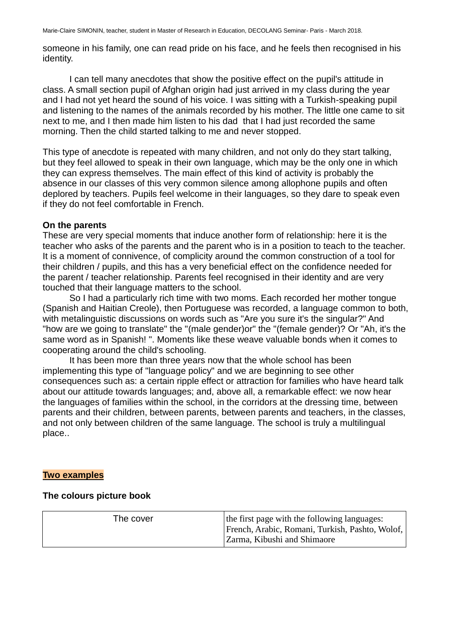someone in his family, one can read pride on his face, and he feels then recognised in his identity.

I can tell many anecdotes that show the positive effect on the pupil's attitude in class. A small section pupil of Afghan origin had just arrived in my class during the year and I had not yet heard the sound of his voice. I was sitting with a Turkish-speaking pupil and listening to the names of the animals recorded by his mother. The little one came to sit next to me, and I then made him listen to his dad that I had just recorded the same morning. Then the child started talking to me and never stopped.

This type of anecdote is repeated with many children, and not only do they start talking, but they feel allowed to speak in their own language, which may be the only one in which they can express themselves. The main effect of this kind of activity is probably the absence in our classes of this very common silence among allophone pupils and often deplored by teachers. Pupils feel welcome in their languages, so they dare to speak even if they do not feel comfortable in French.

# **On the parents**

These are very special moments that induce another form of relationship: here it is the teacher who asks of the parents and the parent who is in a position to teach to the teacher. It is a moment of connivence, of complicity around the common construction of a tool for their children / pupils, and this has a very beneficial effect on the confidence needed for the parent / teacher relationship. Parents feel recognised in their identity and are very touched that their language matters to the school.

So I had a particularly rich time with two moms. Each recorded her mother tongue (Spanish and Haitian Creole), then Portuguese was recorded, a language common to both, with metalinguistic discussions on words such as "Are you sure it's the singular?" And "how are we going to translate" the "(male gender)or" the "(female gender)? Or "Ah, it's the same word as in Spanish! ". Moments like these weave valuable bonds when it comes to cooperating around the child's schooling.

It has been more than three years now that the whole school has been implementing this type of "language policy" and we are beginning to see other consequences such as: a certain ripple effect or attraction for families who have heard talk about our attitude towards languages; and, above all, a remarkable effect: we now hear the languages of families within the school, in the corridors at the dressing time, between parents and their children, between parents, between parents and teachers, in the classes, and not only between children of the same language. The school is truly a multilingual place..

# **Two examples**

# **The colours picture book**

| The cover | the first page with the following languages:<br>  French, Arabic, Romani, Turkish, Pashto, Wolof,  <br>Zarma, Kibushi and Shimaore |
|-----------|------------------------------------------------------------------------------------------------------------------------------------|
|-----------|------------------------------------------------------------------------------------------------------------------------------------|